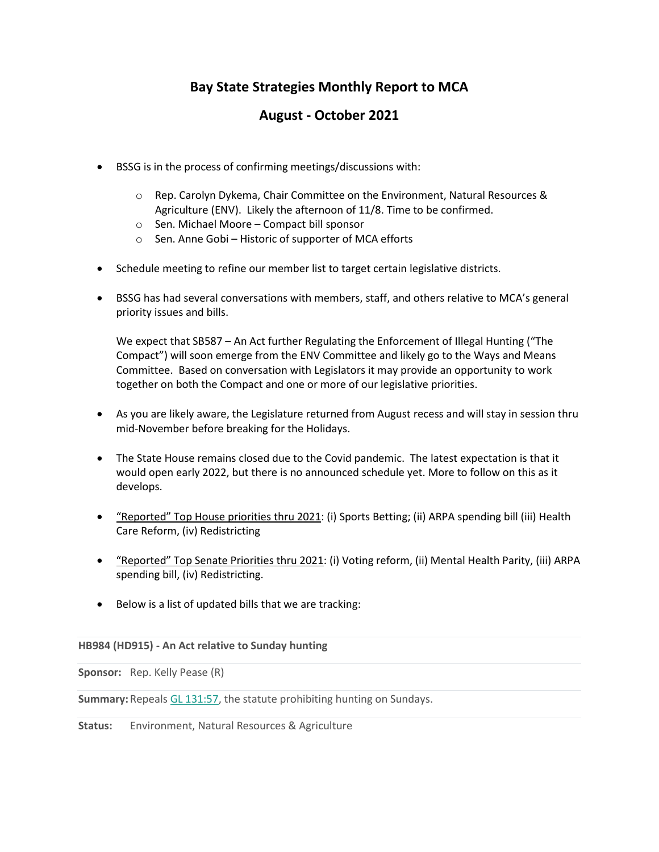# **Bay State Strategies Monthly Report to MCA**

# **August - October 2021**

- BSSG is in the process of confirming meetings/discussions with:
	- $\circ$  Rep. Carolyn Dykema, Chair Committee on the Environment, Natural Resources & Agriculture (ENV). Likely the afternoon of 11/8. Time to be confirmed.
	- o Sen. Michael Moore Compact bill sponsor
	- o Sen. Anne Gobi Historic of supporter of MCA efforts
- Schedule meeting to refine our member list to target certain legislative districts.
- BSSG has had several conversations with members, staff, and others relative to MCA's general priority issues and bills.

We expect that SB587 – An Act further Regulating the Enforcement of Illegal Hunting ("The Compact") will soon emerge from the ENV Committee and likely go to the Ways and Means Committee. Based on conversation with Legislators it may provide an opportunity to work together on both the Compact and one or more of our legislative priorities.

- As you are likely aware, the Legislature returned from August recess and will stay in session thru mid-November before breaking for the Holidays.
- The State House remains closed due to the Covid pandemic. The latest expectation is that it would open early 2022, but there is no announced schedule yet. More to follow on this as it develops.
- "Reported" Top House priorities thru 2021: (i) Sports Betting; (ii) ARPA spending bill (iii) Health Care Reform, (iv) Redistricting
- "Reported" Top Senate Priorities thru 2021: (i) Voting reform, (ii) Mental Health Parity, (iii) ARPA spending bill, (iv) Redistricting.
- Below is a list of updated bills that we are tracking:

### **HB984 (HD915) - An Act relative to Sunday hunting**

**Sponsor:** Rep. Kelly Pease (R)

**Summary:** Repeals [GL 131:57,](http://email.mail.instatrac.com/c/eJwtjr2KwzAQhJ_GLoN-I7lQEQ4uBFIcXIq0a2tlC2Q7SJvc698GAgMz30wzMQzCWTcc-xxijFJ45xSzEX4E44fJJe2UkcLE1BmRt0ZAFabDtK_9Eo5CQ9KY4mhlNCi0VTDYJLUCL7VXfQkL0aN1-tSpb9YKBefcCtCz4mHeX9xd4a-xnXHDCuVDP1Dpwn7LVPB-uXP8WuBBWKWWDL84Ud436_oaYuMl150Pjq3NK7zf_QNdjUOl) the statute prohibiting hunting on Sundays.

**Status:** Environment, Natural Resources & Agriculture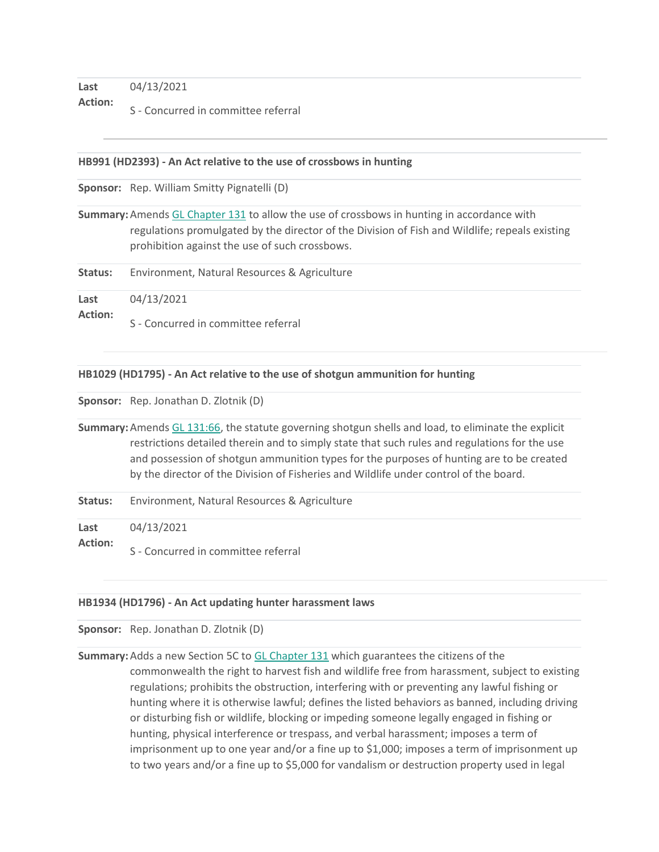**Last Action:**  04/13/2021 S - Concurred in committee referral

#### **HB991 (HD2393) - An Act relative to the use of crossbows in hunting**

**Sponsor:** Rep. William Smitty Pignatelli (D)

**Summary:** Amends [GL Chapter 131](http://email.mail.instatrac.com/c/eJwtjr0KwzAQg58mGYOd2HUyeCiFlkCHDh2yXnLnxOD8YLvt6_cKBYH0aRBC2wmjTXcqvUVEKVpjamYl2hFU203GNaZWUih0hRJ-SxlyhKma9rVcLE4wkkZN4LRQo-lQ1ojOkTS8QboMdsn5SEVzLuora4VAs08B8itSNe9v7u7wSWw32ihC-NMDYu7Znz4HGvqB42WBI1OUjSyjxcTk486nxpTmFX6Pvu7aQP4) to allow the use of crossbows in hunting in accordance with regulations promulgated by the director of the Division of Fish and Wildlife; repeals existing prohibition against the use of such crossbows.

**Status:** Environment, Natural Resources & Agriculture

**Last**  04/13/2021

**Action:**  S - Concurred in committee referral

#### **HB1029 (HD1795) - An Act relative to the use of shotgun ammunition for hunting**

**Sponsor:** Rep. Jonathan D. Zlotnik (D)

**Summary:** Amends [GL 131:66,](http://email.mail.instatrac.com/c/eJwtjssKwjAURL-mXUraPLvIQgRFcCHowu1tHm0gbSW56u97BWFg5sxsxtuBaakH1Sbrve-Y0bonFsyMIMzgdOS6Fx0TPjaCpbUiYAG3c9vSzlYKCUY5b6ICpRRE7rhkQssxjJGBabOdEZ-14fumP5IWyGFKNQO-SthN25u6C3wq2SmsoUD-0xUKnsnvCXN4nB8UDzM8MZSOdwS34DBtq1Jtsb7SkspGB8dapwV-776StUQa) the statute governing shotgun shells and load, to eliminate the explicit restrictions detailed therein and to simply state that such rules and regulations for the use and possession of shotgun ammunition types for the purposes of hunting are to be created by the director of the Division of Fisheries and Wildlife under control of the board.

**Status:** Environment, Natural Resources & Agriculture

**Last**  04/13/2021

**Action:**  S - Concurred in committee referral

#### **HB1934 (HD1796) - An Act updating hunter harassment laws**

**Sponsor:** Rep. Jonathan D. Zlotnik (D)

**Summary:** Adds a new Section 5C to [GL Chapter 131](http://email.mail.instatrac.com/c/eJwtjr0KwzAQg58mGYOd2HUyeCiFlkCHDh2yXnLnxOD8YLvt6_cKBYH0aRBC2wmjTXcqvUVEKVpjamYl2hFU203GNaZWUih0hRJ-SxlyhKma9rVcLE4wkkZN4LRQo-lQ1ojOkTS8QboMdsn5SEVzLuora4VAs08B8itSNe9v7u7wSWw32ihC-NMDYu7Znz4HGvqB42WBI1OUjSyjxcTk486nxpTmFX6Pvu7aQP4) which guarantees the citizens of the commonwealth the right to harvest fish and wildlife free from harassment, subject to existing regulations; prohibits the obstruction, interfering with or preventing any lawful fishing or hunting where it is otherwise lawful; defines the listed behaviors as banned, including driving or disturbing fish or wildlife, blocking or impeding someone legally engaged in fishing or hunting, physical interference or trespass, and verbal harassment; imposes a term of imprisonment up to one year and/or a fine up to \$1,000; imposes a term of imprisonment up to two years and/or a fine up to \$5,000 for vandalism or destruction property used in legal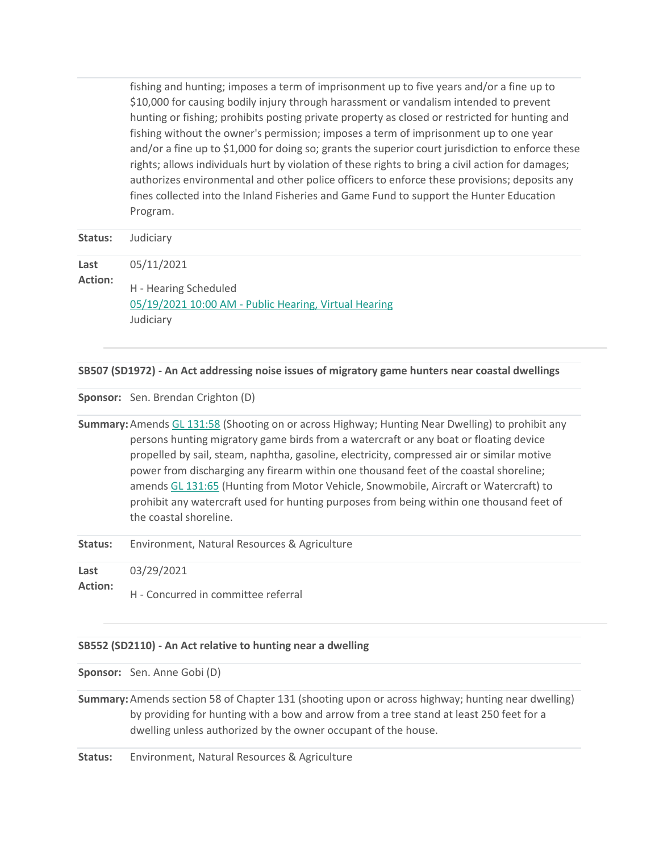fishing and hunting; imposes a term of imprisonment up to five years and/or a fine up to \$10,000 for causing bodily injury through harassment or vandalism intended to prevent hunting or fishing; prohibits posting private property as closed or restricted for hunting and fishing without the owner's permission; imposes a term of imprisonment up to one year and/or a fine up to \$1,000 for doing so; grants the superior court jurisdiction to enforce these rights; allows individuals hurt by violation of these rights to bring a civil action for damages; authorizes environmental and other police officers to enforce these provisions; deposits any fines collected into the Inland Fisheries and Game Fund to support the Hunter Education Program.

| Status:                | Judiciary                                                                                                 |
|------------------------|-----------------------------------------------------------------------------------------------------------|
| Last<br><b>Action:</b> | 05/11/2021<br>H - Hearing Scheduled<br>05/19/2021 10:00 AM - Public Hearing, Virtual Hearing<br>Judiciary |

### **SB507 (SD1972) - An Act addressing noise issues of migratory game hunters near coastal dwellings**

**Sponsor:** Sen. Brendan Crighton (D)

**Summary:** Amends [GL 131:58](http://email.mail.instatrac.com/c/eJwtjr2KwzAQhJ_GLoNkSZFcqAiBOwJXBJIi7Vpa2wL5B2kvef1sIDAw8800E30vrLH9sU0-xiiFs7Zj1sINoF0f7Khsp6XQcWy0SGsloALhELalnb0LQmKIo1ZCRLQKlEGFajDGAIKDNvuZaK-NOjXdD2uBjFOqGei_4GHantz9wauy_eKKBfKXrlDown5PlPFxeXA8z7ATFqkkww0DpW01ri0-Vl5S2fjgUOu0wOfdG7xcRGU) (Shooting on or across Highway; Hunting Near Dwelling) to prohibit any persons hunting migratory game birds from a watercraft or any boat or floating device propelled by sail, steam, naphtha, gasoline, electricity, compressed air or similar motive power from discharging any firearm within one thousand feet of the coastal shoreline; amend[s GL 131:65](http://email.mail.instatrac.com/c/eJwtjs1qwzAQhJ_GPgZJVrzSQYdSaAn0EEgPua7-bIFsB2nbvH62UBiY-WYuE50VcAY7j8XFGKUwAIpZC-NRGxsgT6C0FDrmQYuyd0JqGE7h2MbVRW-D9Sp5LSyABMhKaTNnI2OWSoixupXo0YfpbVAfrA1rWkqvSD8tnZbjl7svfHa2z7SnhvWfrtjowv5dqKb75c7xfcUHpSYnyXBLgcqxz-exudh5Ke3gg773ZcO_dy9PCEOJ) (Hunting from Motor Vehicle, Snowmobile, Aircraft or Watercraft) to prohibit any watercraft used for hunting purposes from being within one thousand feet of the coastal shoreline.

**Status:** Environment, Natural Resources & Agriculture

**Last**  03/29/2021

**Action:**  H - Concurred in committee referral

### **SB552 (SD2110) - An Act relative to hunting near a dwelling**

**Sponsor:** Sen. Anne Gobi (D)

**Summary:** Amends section 58 of Chapter 131 (shooting upon or across highway; hunting near dwelling) by providing for hunting with a bow and arrow from a tree stand at least 250 feet for a dwelling unless authorized by the owner occupant of the house.